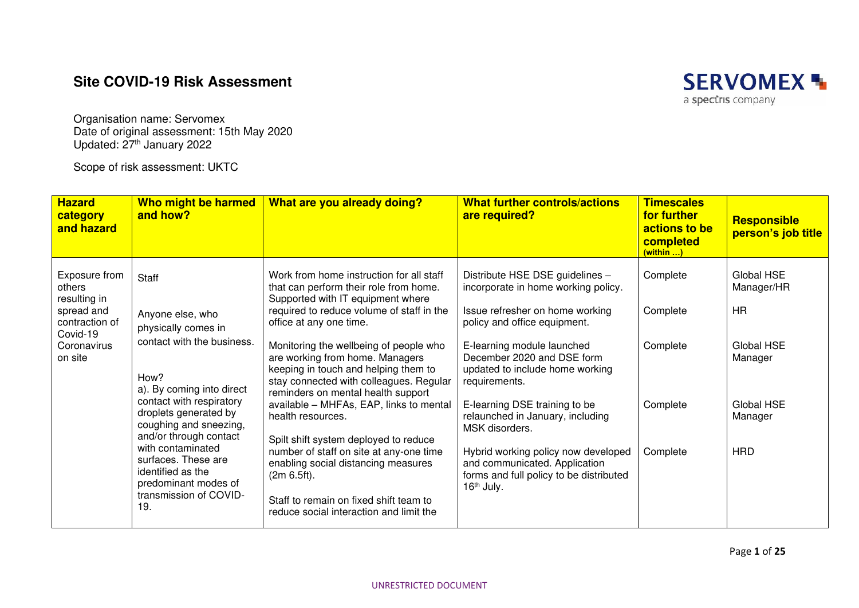## **Site COVID-19 Risk Assessment**



Organisation name: Servomex Date of original assessment: 15th May 2020 Updated: 27<sup>th</sup> January 2022

Scope of risk assessment: UKTC

| <b>Hazard</b><br>category<br>and hazard                                                                                                                    | Who might be harmed<br>and how?                                                                                                                                                                     | What are you already doing?                                                                                                                                                                        | <b>What further controls/actions</b><br>are required?                                                                                     | <b>Timescales</b><br>for further<br>actions to be<br>completed<br>(within ) | <b>Responsible</b><br>person's job title |
|------------------------------------------------------------------------------------------------------------------------------------------------------------|-----------------------------------------------------------------------------------------------------------------------------------------------------------------------------------------------------|----------------------------------------------------------------------------------------------------------------------------------------------------------------------------------------------------|-------------------------------------------------------------------------------------------------------------------------------------------|-----------------------------------------------------------------------------|------------------------------------------|
| Exposure from<br>Staff<br>others<br>resulting in<br>spread and<br>contraction of<br>Covid-19<br>Coronavirus<br>on site<br>How?<br>identified as the<br>19. | Anyone else, who                                                                                                                                                                                    | Work from home instruction for all staff<br>that can perform their role from home.<br>Supported with IT equipment where<br>required to reduce volume of staff in the<br>office at any one time.    | Distribute HSE DSE guidelines -<br>incorporate in home working policy.<br>Issue refresher on home working<br>policy and office equipment. | Complete<br>Complete                                                        | Global HSE<br>Manager/HR<br><b>HR</b>    |
|                                                                                                                                                            | physically comes in<br>contact with the business.<br>a). By coming into direct                                                                                                                      | Monitoring the wellbeing of people who<br>are working from home. Managers<br>keeping in touch and helping them to<br>stay connected with colleagues. Regular<br>reminders on mental health support | E-learning module launched<br>December 2020 and DSE form<br>updated to include home working<br>requirements.                              | Complete                                                                    | Global HSE<br>Manager                    |
|                                                                                                                                                            | contact with respiratory<br>droplets generated by<br>coughing and sneezing,<br>and/or through contact<br>with contaminated<br>surfaces. These are<br>predominant modes of<br>transmission of COVID- | available - MHFAs, EAP, links to mental<br>health resources.<br>Spilt shift system deployed to reduce                                                                                              | E-learning DSE training to be<br>relaunched in January, including<br>MSK disorders.                                                       | Complete                                                                    | Global HSE<br>Manager                    |
|                                                                                                                                                            |                                                                                                                                                                                                     | number of staff on site at any-one time<br>enabling social distancing measures<br>(2m 6.5ft).<br>Staff to remain on fixed shift team to<br>reduce social interaction and limit the                 | Hybrid working policy now developed<br>and communicated. Application<br>forms and full policy to be distributed<br>16th July.             | Complete                                                                    | <b>HRD</b>                               |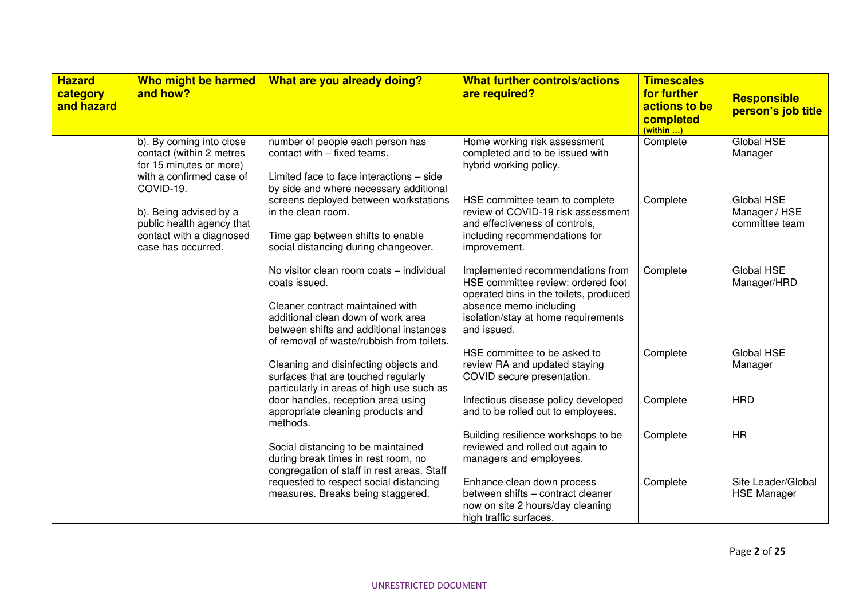| <b>Hazard</b><br>category<br>and hazard | Who might be harmed<br>and how?                                                                                          | What are you already doing?                                                                                                                                                                                                 | <b>What further controls/actions</b><br>are required?                                                                                                                                            | <b>Timescales</b><br>for further<br>actions to be<br>completed<br>(within ) | <b>Responsible</b><br>person's job title      |
|-----------------------------------------|--------------------------------------------------------------------------------------------------------------------------|-----------------------------------------------------------------------------------------------------------------------------------------------------------------------------------------------------------------------------|--------------------------------------------------------------------------------------------------------------------------------------------------------------------------------------------------|-----------------------------------------------------------------------------|-----------------------------------------------|
|                                         | b). By coming into close<br>contact (within 2 metres<br>for 15 minutes or more)<br>with a confirmed case of<br>COVID-19. | number of people each person has<br>contact with - fixed teams.<br>Limited face to face interactions - side<br>by side and where necessary additional                                                                       | Home working risk assessment<br>completed and to be issued with<br>hybrid working policy.                                                                                                        | Complete                                                                    | Global HSE<br>Manager                         |
|                                         | b). Being advised by a<br>public health agency that<br>contact with a diagnosed<br>case has occurred.                    | screens deployed between workstations<br>in the clean room.<br>Time gap between shifts to enable<br>social distancing during changeover.                                                                                    | HSE committee team to complete<br>review of COVID-19 risk assessment<br>and effectiveness of controls,<br>including recommendations for<br>improvement.                                          | Complete                                                                    | Global HSE<br>Manager / HSE<br>committee team |
|                                         |                                                                                                                          | No visitor clean room coats - individual<br>coats issued.<br>Cleaner contract maintained with<br>additional clean down of work area<br>between shifts and additional instances<br>of removal of waste/rubbish from toilets. | Implemented recommendations from<br>HSE committee review: ordered foot<br>operated bins in the toilets, produced<br>absence memo including<br>isolation/stay at home requirements<br>and issued. | Complete                                                                    | Global HSE<br>Manager/HRD                     |
|                                         |                                                                                                                          | Cleaning and disinfecting objects and<br>surfaces that are touched regularly<br>particularly in areas of high use such as                                                                                                   | HSE committee to be asked to<br>review RA and updated staying<br>COVID secure presentation.                                                                                                      | Complete                                                                    | <b>Global HSE</b><br>Manager                  |
|                                         |                                                                                                                          | door handles, reception area using<br>appropriate cleaning products and<br>methods.                                                                                                                                         | Infectious disease policy developed<br>and to be rolled out to employees.                                                                                                                        | Complete                                                                    | <b>HRD</b>                                    |
|                                         |                                                                                                                          | Social distancing to be maintained<br>during break times in rest room, no<br>congregation of staff in rest areas. Staff                                                                                                     | Building resilience workshops to be<br>reviewed and rolled out again to<br>managers and employees.                                                                                               | Complete                                                                    | <b>HR</b>                                     |
|                                         |                                                                                                                          | requested to respect social distancing<br>measures. Breaks being staggered.                                                                                                                                                 | Enhance clean down process<br>between shifts - contract cleaner<br>now on site 2 hours/day cleaning<br>high traffic surfaces.                                                                    | Complete                                                                    | Site Leader/Global<br><b>HSE Manager</b>      |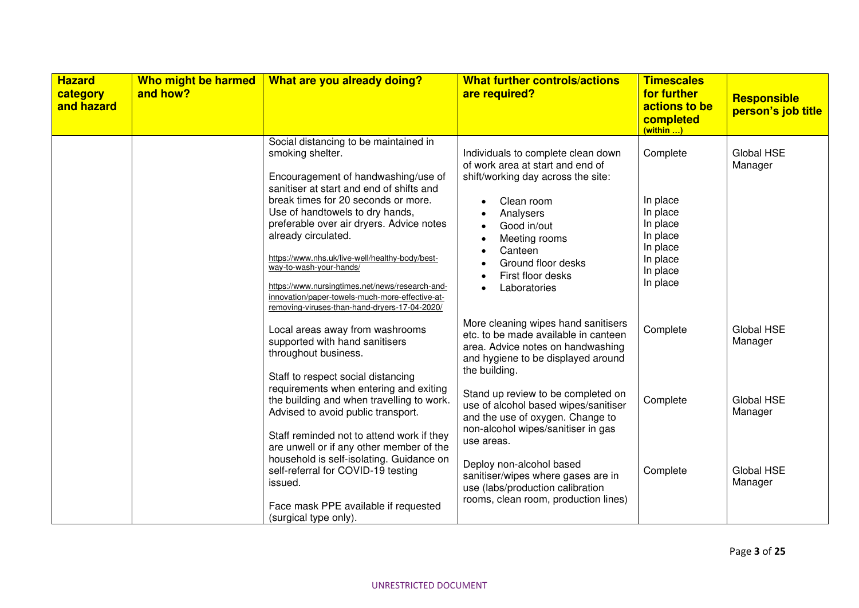| <b>Hazard</b><br>category<br>and hazard | Who might be harmed<br>and how? | What are you already doing?                                                                                                                                                                                                                                                                                                                                                                                                                                                                                                    | <b>What further controls/actions</b><br>are required?                                                                                                                                                                                                                                | <b>Timescales</b><br>for further<br>actions to be<br>completed<br>(within )                              | <b>Responsible</b><br>person's job title |
|-----------------------------------------|---------------------------------|--------------------------------------------------------------------------------------------------------------------------------------------------------------------------------------------------------------------------------------------------------------------------------------------------------------------------------------------------------------------------------------------------------------------------------------------------------------------------------------------------------------------------------|--------------------------------------------------------------------------------------------------------------------------------------------------------------------------------------------------------------------------------------------------------------------------------------|----------------------------------------------------------------------------------------------------------|------------------------------------------|
|                                         |                                 | Social distancing to be maintained in<br>smoking shelter.<br>Encouragement of handwashing/use of<br>sanitiser at start and end of shifts and<br>break times for 20 seconds or more.<br>Use of handtowels to dry hands,<br>preferable over air dryers. Advice notes<br>already circulated.<br>https://www.nhs.uk/live-well/healthy-body/best-<br>way-to-wash-your-hands/<br>https://www.nursingtimes.net/news/research-and-<br>innovation/paper-towels-much-more-effective-at-<br>removing-viruses-than-hand-dryers-17-04-2020/ | Individuals to complete clean down<br>of work area at start and end of<br>shift/working day across the site:<br>Clean room<br>$\bullet$<br>Analysers<br>Good in/out<br>Meeting rooms<br>$\bullet$<br>Canteen<br>Ground floor desks<br>First floor desks<br>Laboratories<br>$\bullet$ | Complete<br>In place<br>In place<br>In place<br>In place<br>In place<br>In place<br>In place<br>In place | Global HSE<br>Manager                    |
|                                         |                                 | Local areas away from washrooms<br>supported with hand sanitisers<br>throughout business.<br>Staff to respect social distancing                                                                                                                                                                                                                                                                                                                                                                                                | More cleaning wipes hand sanitisers<br>etc. to be made available in canteen<br>area. Advice notes on handwashing<br>and hygiene to be displayed around<br>the building.                                                                                                              | Complete                                                                                                 | Global HSE<br>Manager                    |
|                                         |                                 | requirements when entering and exiting<br>the building and when travelling to work.<br>Advised to avoid public transport.<br>Staff reminded not to attend work if they<br>are unwell or if any other member of the                                                                                                                                                                                                                                                                                                             | Stand up review to be completed on<br>use of alcohol based wipes/sanitiser<br>and the use of oxygen. Change to<br>non-alcohol wipes/sanitiser in gas<br>use areas.                                                                                                                   | Complete                                                                                                 | Global HSE<br>Manager                    |
|                                         |                                 | household is self-isolating. Guidance on<br>self-referral for COVID-19 testing<br>issued.<br>Face mask PPE available if requested<br>(surgical type only).                                                                                                                                                                                                                                                                                                                                                                     | Deploy non-alcohol based<br>sanitiser/wipes where gases are in<br>use (labs/production calibration<br>rooms, clean room, production lines)                                                                                                                                           | Complete                                                                                                 | Global HSE<br>Manager                    |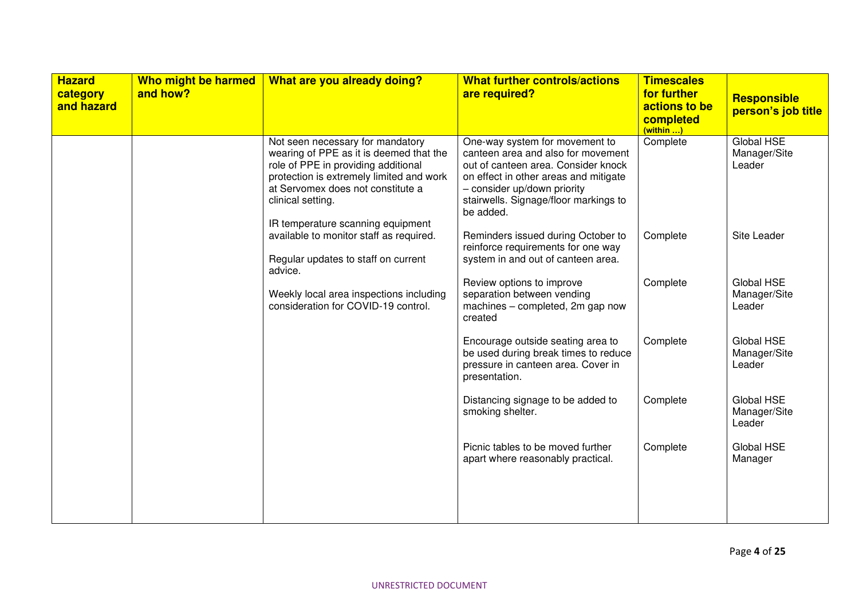| <b>Hazard</b><br>category<br>and hazard | Who might be harmed<br>and how? | What are you already doing?                                                                                                                                                                                                                                   | <b>What further controls/actions</b><br>are required?                                                                                                                                                                                     | <b>Timescales</b><br>for further<br>actions to be<br>completed<br>(within ) | <b>Responsible</b><br>person's job title |
|-----------------------------------------|---------------------------------|---------------------------------------------------------------------------------------------------------------------------------------------------------------------------------------------------------------------------------------------------------------|-------------------------------------------------------------------------------------------------------------------------------------------------------------------------------------------------------------------------------------------|-----------------------------------------------------------------------------|------------------------------------------|
|                                         |                                 | Not seen necessary for mandatory<br>wearing of PPE as it is deemed that the<br>role of PPE in providing additional<br>protection is extremely limited and work<br>at Servomex does not constitute a<br>clinical setting.<br>IR temperature scanning equipment | One-way system for movement to<br>canteen area and also for movement<br>out of canteen area. Consider knock<br>on effect in other areas and mitigate<br>- consider up/down priority<br>stairwells. Signage/floor markings to<br>be added. | Complete                                                                    | Global HSE<br>Manager/Site<br>Leader     |
|                                         |                                 | available to monitor staff as required.<br>Regular updates to staff on current<br>advice.                                                                                                                                                                     | Reminders issued during October to<br>reinforce requirements for one way<br>system in and out of canteen area.                                                                                                                            | Complete                                                                    | Site Leader                              |
|                                         |                                 | Weekly local area inspections including<br>consideration for COVID-19 control.                                                                                                                                                                                | Review options to improve<br>separation between vending<br>machines - completed, 2m gap now<br>created                                                                                                                                    | Complete                                                                    | Global HSE<br>Manager/Site<br>Leader     |
|                                         |                                 |                                                                                                                                                                                                                                                               | Encourage outside seating area to<br>be used during break times to reduce<br>pressure in canteen area. Cover in<br>presentation.                                                                                                          | Complete                                                                    | Global HSE<br>Manager/Site<br>Leader     |
|                                         |                                 |                                                                                                                                                                                                                                                               | Distancing signage to be added to<br>smoking shelter.                                                                                                                                                                                     | Complete                                                                    | Global HSE<br>Manager/Site<br>Leader     |
|                                         |                                 |                                                                                                                                                                                                                                                               | Picnic tables to be moved further<br>apart where reasonably practical.                                                                                                                                                                    | Complete                                                                    | Global HSE<br>Manager                    |
|                                         |                                 |                                                                                                                                                                                                                                                               |                                                                                                                                                                                                                                           |                                                                             |                                          |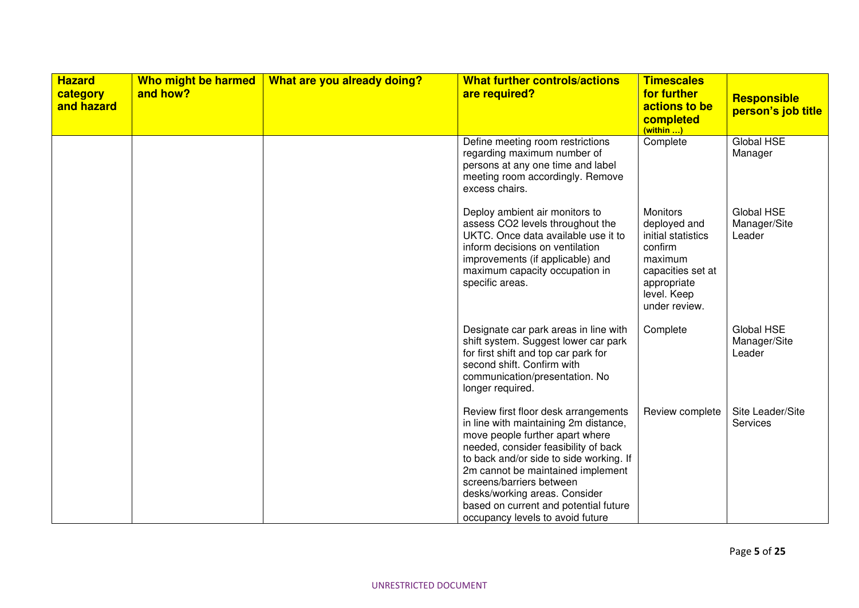| <b>Hazard</b><br>category<br>and hazard | Who might be harmed<br>and how? | What are you already doing? | <b>What further controls/actions</b><br>are required?                                                                                                                                                                                                                                                                                                                              | <b>Timescales</b><br>for further<br>actions to be<br>completed<br>(within )                                                                     | <b>Responsible</b><br>person's job title |
|-----------------------------------------|---------------------------------|-----------------------------|------------------------------------------------------------------------------------------------------------------------------------------------------------------------------------------------------------------------------------------------------------------------------------------------------------------------------------------------------------------------------------|-------------------------------------------------------------------------------------------------------------------------------------------------|------------------------------------------|
|                                         |                                 |                             | Define meeting room restrictions<br>regarding maximum number of<br>persons at any one time and label<br>meeting room accordingly. Remove<br>excess chairs.                                                                                                                                                                                                                         | Complete                                                                                                                                        | Global HSE<br>Manager                    |
|                                         |                                 |                             | Deploy ambient air monitors to<br>assess CO2 levels throughout the<br>UKTC. Once data available use it to<br>inform decisions on ventilation<br>improvements (if applicable) and<br>maximum capacity occupation in<br>specific areas.                                                                                                                                              | <b>Monitors</b><br>deployed and<br>initial statistics<br>confirm<br>maximum<br>capacities set at<br>appropriate<br>level. Keep<br>under review. | Global HSE<br>Manager/Site<br>Leader     |
|                                         |                                 |                             | Designate car park areas in line with<br>shift system. Suggest lower car park<br>for first shift and top car park for<br>second shift. Confirm with<br>communication/presentation. No<br>longer required.                                                                                                                                                                          | Complete                                                                                                                                        | Global HSE<br>Manager/Site<br>Leader     |
|                                         |                                 |                             | Review first floor desk arrangements<br>in line with maintaining 2m distance,<br>move people further apart where<br>needed, consider feasibility of back<br>to back and/or side to side working. If<br>2m cannot be maintained implement<br>screens/barriers between<br>desks/working areas. Consider<br>based on current and potential future<br>occupancy levels to avoid future | Review complete                                                                                                                                 | Site Leader/Site<br><b>Services</b>      |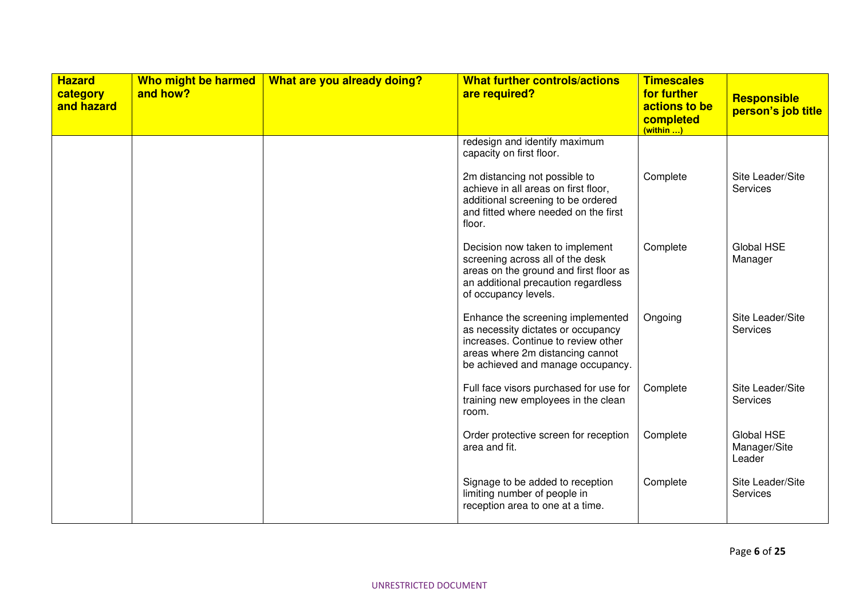| <b>Hazard</b><br>category<br>and hazard | Who might be harmed<br>and how? | What are you already doing? | <b>What further controls/actions</b><br>are required?                                                                                                                                   | <b>Timescales</b><br>for further<br>actions to be<br>completed<br>(within ) | <b>Responsible</b><br>person's job title |
|-----------------------------------------|---------------------------------|-----------------------------|-----------------------------------------------------------------------------------------------------------------------------------------------------------------------------------------|-----------------------------------------------------------------------------|------------------------------------------|
|                                         |                                 |                             | redesign and identify maximum<br>capacity on first floor.                                                                                                                               |                                                                             |                                          |
|                                         |                                 |                             | 2m distancing not possible to<br>achieve in all areas on first floor,<br>additional screening to be ordered<br>and fitted where needed on the first<br>floor.                           | Complete                                                                    | Site Leader/Site<br>Services             |
|                                         |                                 |                             | Decision now taken to implement<br>screening across all of the desk<br>areas on the ground and first floor as<br>an additional precaution regardless<br>of occupancy levels.            | Complete                                                                    | Global HSE<br>Manager                    |
|                                         |                                 |                             | Enhance the screening implemented<br>as necessity dictates or occupancy<br>increases. Continue to review other<br>areas where 2m distancing cannot<br>be achieved and manage occupancy. | Ongoing                                                                     | Site Leader/Site<br>Services             |
|                                         |                                 |                             | Full face visors purchased for use for<br>training new employees in the clean<br>room.                                                                                                  | Complete                                                                    | Site Leader/Site<br>Services             |
|                                         |                                 |                             | Order protective screen for reception<br>area and fit.                                                                                                                                  | Complete                                                                    | Global HSE<br>Manager/Site<br>Leader     |
|                                         |                                 |                             | Signage to be added to reception<br>limiting number of people in<br>reception area to one at a time.                                                                                    | Complete                                                                    | Site Leader/Site<br>Services             |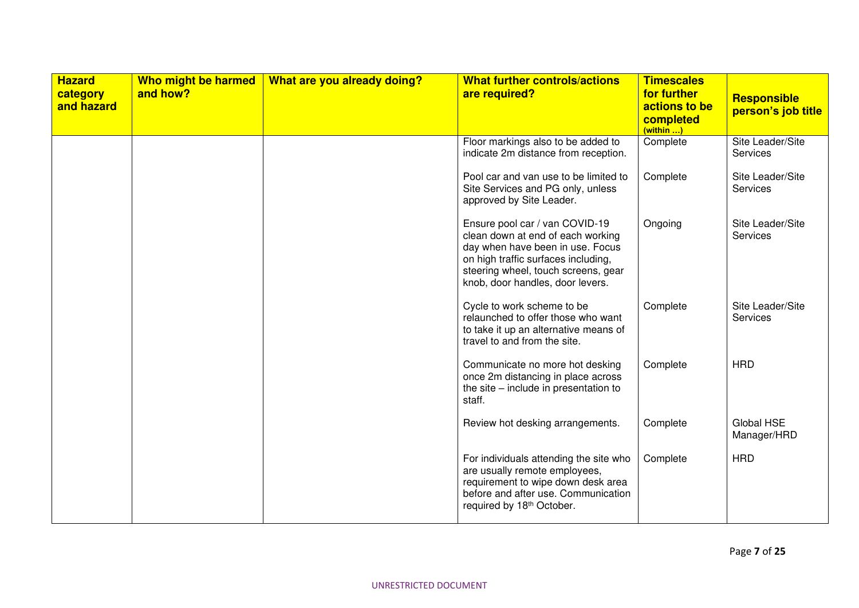| <b>Hazard</b><br>category<br>and hazard | Who might be harmed<br>and how? | What are you already doing? | <b>What further controls/actions</b><br>are required?                                                                                                                                                                     | <b>Timescales</b><br>for further<br>actions to be<br>completed<br>(within ) | Responsible<br>person's job title |
|-----------------------------------------|---------------------------------|-----------------------------|---------------------------------------------------------------------------------------------------------------------------------------------------------------------------------------------------------------------------|-----------------------------------------------------------------------------|-----------------------------------|
|                                         |                                 |                             | Floor markings also to be added to<br>indicate 2m distance from reception.                                                                                                                                                | Complete                                                                    | Site Leader/Site<br>Services      |
|                                         |                                 |                             | Pool car and van use to be limited to<br>Site Services and PG only, unless<br>approved by Site Leader.                                                                                                                    | Complete                                                                    | Site Leader/Site<br>Services      |
|                                         |                                 |                             | Ensure pool car / van COVID-19<br>clean down at end of each working<br>day when have been in use. Focus<br>on high traffic surfaces including,<br>steering wheel, touch screens, gear<br>knob, door handles, door levers. | Ongoing                                                                     | Site Leader/Site<br>Services      |
|                                         |                                 |                             | Cycle to work scheme to be<br>relaunched to offer those who want<br>to take it up an alternative means of<br>travel to and from the site.                                                                                 | Complete                                                                    | Site Leader/Site<br>Services      |
|                                         |                                 |                             | Communicate no more hot desking<br>once 2m distancing in place across<br>the site – include in presentation to<br>staff.                                                                                                  | Complete                                                                    | <b>HRD</b>                        |
|                                         |                                 |                             | Review hot desking arrangements.                                                                                                                                                                                          | Complete                                                                    | Global HSE<br>Manager/HRD         |
|                                         |                                 |                             | For individuals attending the site who<br>are usually remote employees,<br>requirement to wipe down desk area<br>before and after use. Communication<br>required by 18th October.                                         | Complete                                                                    | <b>HRD</b>                        |

UNRESTRICTED DOCUMENT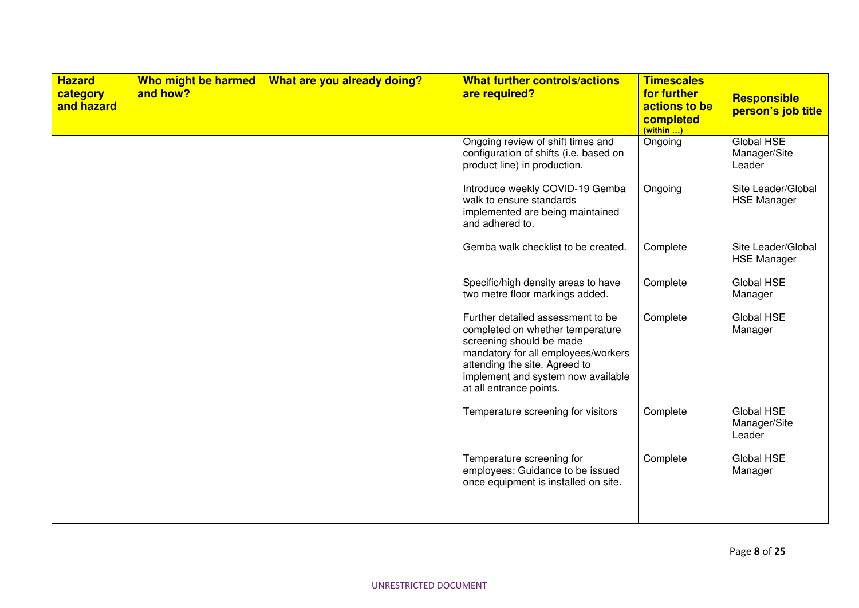| <b>Hazard</b><br>category<br>and hazard | Who might be harmed<br>and how? | What are you already doing? | <b>What further controls/actions</b><br>are required?                                                                                                                                                                                      | <b>Timescales</b><br>for further<br>actions to be<br>completed<br>$(within$ | Responsible<br>person's job title           |
|-----------------------------------------|---------------------------------|-----------------------------|--------------------------------------------------------------------------------------------------------------------------------------------------------------------------------------------------------------------------------------------|-----------------------------------------------------------------------------|---------------------------------------------|
|                                         |                                 |                             | Ongoing review of shift times and<br>configuration of shifts (i.e. based on<br>product line) in production.                                                                                                                                | Ongoing                                                                     | <b>Global HSE</b><br>Manager/Site<br>Leader |
|                                         |                                 |                             | Introduce weekly COVID-19 Gemba<br>walk to ensure standards<br>implemented are being maintained<br>and adhered to.                                                                                                                         | Ongoing                                                                     | Site Leader/Global<br><b>HSE Manager</b>    |
|                                         |                                 |                             | Gemba walk checklist to be created.                                                                                                                                                                                                        | Complete                                                                    | Site Leader/Global<br><b>HSE Manager</b>    |
|                                         |                                 |                             | Specific/high density areas to have<br>two metre floor markings added.                                                                                                                                                                     | Complete                                                                    | Global HSE<br>Manager                       |
|                                         |                                 |                             | Further detailed assessment to be<br>completed on whether temperature<br>screening should be made<br>mandatory for all employees/workers<br>attending the site. Agreed to<br>implement and system now available<br>at all entrance points. | Complete                                                                    | Global HSE<br>Manager                       |
|                                         |                                 |                             | Temperature screening for visitors                                                                                                                                                                                                         | Complete                                                                    | Global HSE<br>Manager/Site<br>Leader        |
|                                         |                                 |                             | Temperature screening for<br>employees: Guidance to be issued<br>once equipment is installed on site.                                                                                                                                      | Complete                                                                    | Global HSE<br>Manager                       |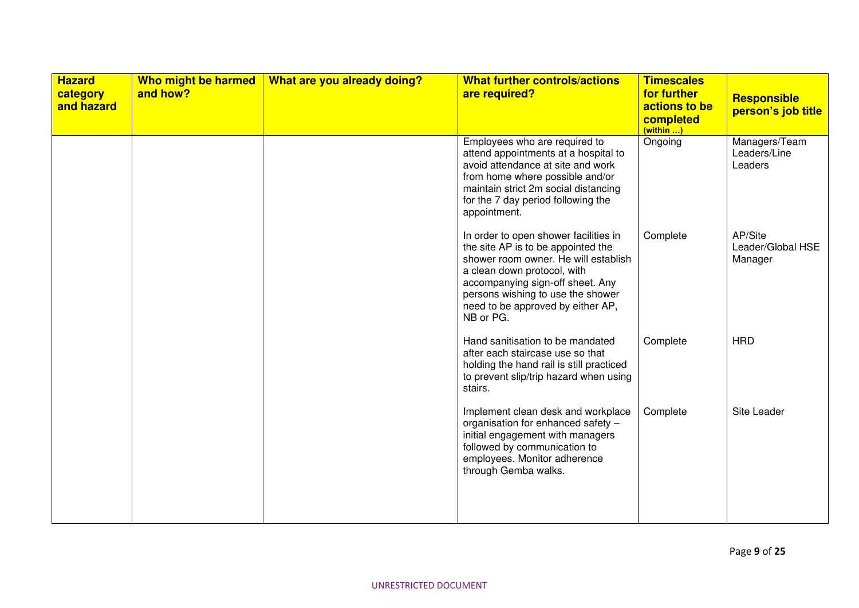| <b>Hazard</b><br>category<br>and hazard | Who might be harmed<br>and how? | What are you already doing? | <b>What further controls/actions</b><br>are required?                                                                                                                                                                                                                         | <b>Timescales</b><br>for further<br>actions to be<br>completed<br>$(within$ | <b>Responsible</b><br>person's job title |
|-----------------------------------------|---------------------------------|-----------------------------|-------------------------------------------------------------------------------------------------------------------------------------------------------------------------------------------------------------------------------------------------------------------------------|-----------------------------------------------------------------------------|------------------------------------------|
|                                         |                                 |                             | Employees who are required to<br>attend appointments at a hospital to<br>avoid attendance at site and work<br>from home where possible and/or<br>maintain strict 2m social distancing<br>for the 7 day period following the<br>appointment.                                   | Ongoing                                                                     | Managers/Team<br>Leaders/Line<br>Leaders |
|                                         |                                 |                             | In order to open shower facilities in<br>the site AP is to be appointed the<br>shower room owner. He will establish<br>a clean down protocol, with<br>accompanying sign-off sheet. Any<br>persons wishing to use the shower<br>need to be approved by either AP,<br>NB or PG. | Complete                                                                    | AP/Site<br>Leader/Global HSE<br>Manager  |
|                                         |                                 |                             | Hand sanitisation to be mandated<br>after each staircase use so that<br>holding the hand rail is still practiced<br>to prevent slip/trip hazard when using<br>stairs.                                                                                                         | Complete                                                                    | <b>HRD</b>                               |
|                                         |                                 |                             | Implement clean desk and workplace<br>organisation for enhanced safety -<br>initial engagement with managers<br>followed by communication to<br>employees. Monitor adherence<br>through Gemba walks.                                                                          | Complete                                                                    | Site Leader                              |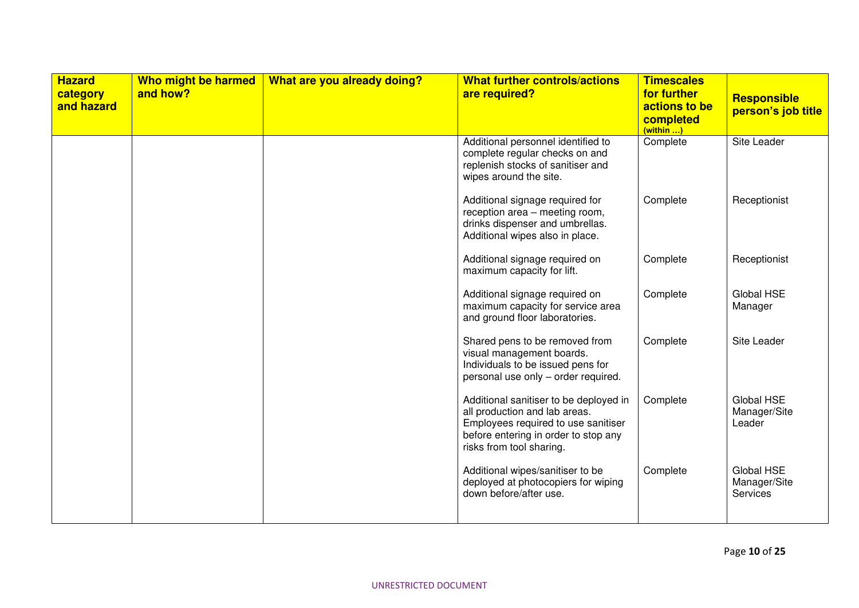| <b>Hazard</b><br>category<br>and hazard | Who might be harmed<br>and how? | What are you already doing? | <b>What further controls/actions</b><br>are required?                                                                                                                              | <b>Timescales</b><br>for further<br>actions to be<br>completed<br>(within ) | <b>Responsible</b><br>person's job title |
|-----------------------------------------|---------------------------------|-----------------------------|------------------------------------------------------------------------------------------------------------------------------------------------------------------------------------|-----------------------------------------------------------------------------|------------------------------------------|
|                                         |                                 |                             | Additional personnel identified to<br>complete regular checks on and<br>replenish stocks of sanitiser and<br>wipes around the site.                                                | Complete                                                                    | Site Leader                              |
|                                         |                                 |                             | Additional signage required for<br>reception area - meeting room,<br>drinks dispenser and umbrellas.<br>Additional wipes also in place.                                            | Complete                                                                    | Receptionist                             |
|                                         |                                 |                             | Additional signage required on<br>maximum capacity for lift.                                                                                                                       | Complete                                                                    | Receptionist                             |
|                                         |                                 |                             | Additional signage required on<br>maximum capacity for service area<br>and ground floor laboratories.                                                                              | Complete                                                                    | Global HSE<br>Manager                    |
|                                         |                                 |                             | Shared pens to be removed from<br>visual management boards.<br>Individuals to be issued pens for<br>personal use only - order required.                                            | Complete                                                                    | Site Leader                              |
|                                         |                                 |                             | Additional sanitiser to be deployed in<br>all production and lab areas.<br>Employees required to use sanitiser<br>before entering in order to stop any<br>risks from tool sharing. | Complete                                                                    | Global HSE<br>Manager/Site<br>Leader     |
|                                         |                                 |                             | Additional wipes/sanitiser to be<br>deployed at photocopiers for wiping<br>down before/after use.                                                                                  | Complete                                                                    | Global HSE<br>Manager/Site<br>Services   |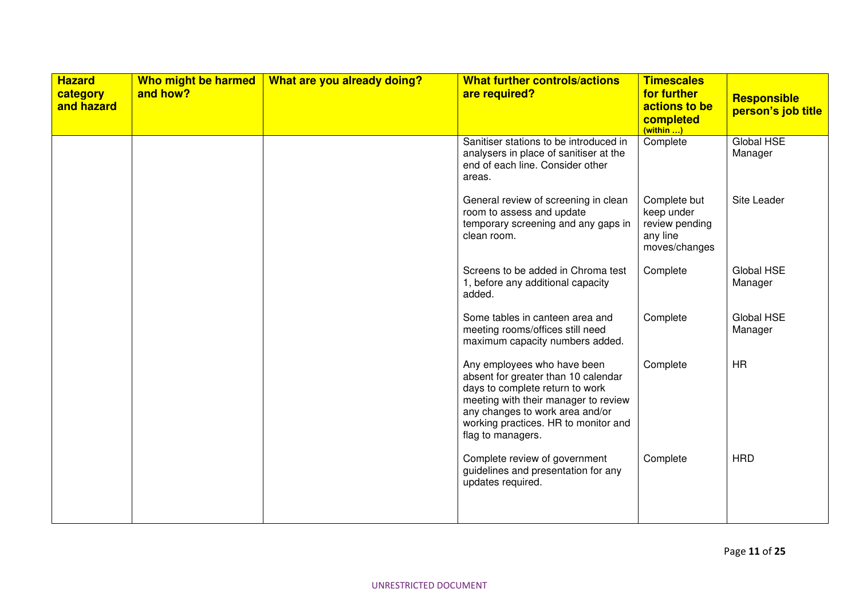| <b>Hazard</b><br>category<br>and hazard | Who might be harmed<br>and how? | What are you already doing? | <b>What further controls/actions</b><br>are required?                                                                                                                                                                                         | <b>Timescales</b><br>for further<br>actions to be<br>completed<br>(within ) | <b>Responsible</b><br>person's job title |
|-----------------------------------------|---------------------------------|-----------------------------|-----------------------------------------------------------------------------------------------------------------------------------------------------------------------------------------------------------------------------------------------|-----------------------------------------------------------------------------|------------------------------------------|
|                                         |                                 |                             | Sanitiser stations to be introduced in<br>analysers in place of sanitiser at the<br>end of each line. Consider other<br>areas.                                                                                                                | Complete                                                                    | Global HSE<br>Manager                    |
|                                         |                                 |                             | General review of screening in clean<br>room to assess and update<br>temporary screening and any gaps in<br>clean room.                                                                                                                       | Complete but<br>keep under<br>review pending<br>any line<br>moves/changes   | Site Leader                              |
|                                         |                                 |                             | Screens to be added in Chroma test<br>1, before any additional capacity<br>added.                                                                                                                                                             | Complete                                                                    | Global HSE<br>Manager                    |
|                                         |                                 |                             | Some tables in canteen area and<br>meeting rooms/offices still need<br>maximum capacity numbers added.                                                                                                                                        | Complete                                                                    | Global HSE<br>Manager                    |
|                                         |                                 |                             | Any employees who have been<br>absent for greater than 10 calendar<br>days to complete return to work<br>meeting with their manager to review<br>any changes to work area and/or<br>working practices. HR to monitor and<br>flag to managers. | Complete                                                                    | <b>HR</b>                                |
|                                         |                                 |                             | Complete review of government<br>guidelines and presentation for any<br>updates required.                                                                                                                                                     | Complete                                                                    | <b>HRD</b>                               |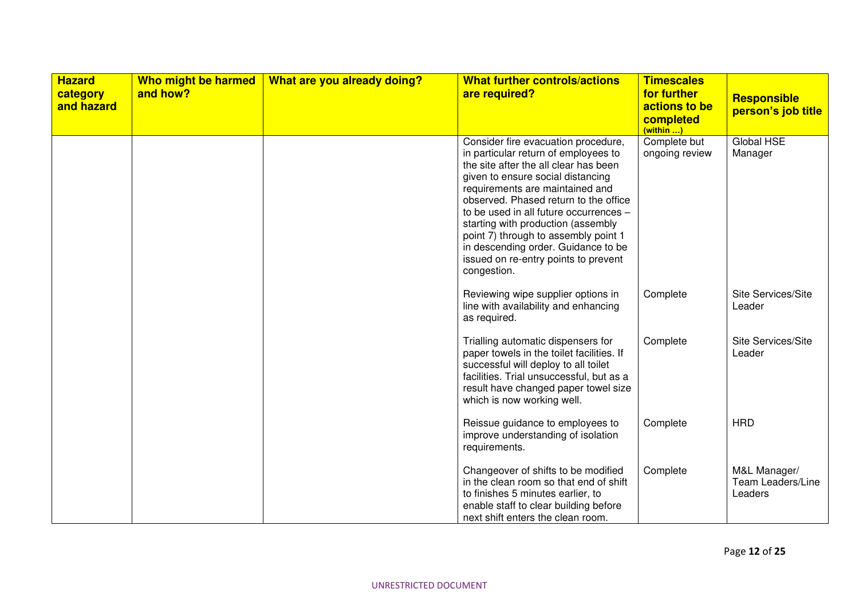| <b>Hazard</b><br>category<br>and hazard | Who might be harmed<br>and how? | What are you already doing? | <b>What further controls/actions</b><br>are required?                                                                                                                                                                                                                                                                                                                                                                                                       | <b>Timescales</b><br>for further<br>actions to be<br>completed<br>$(within$ ) | <b>Responsible</b><br>person's job title     |
|-----------------------------------------|---------------------------------|-----------------------------|-------------------------------------------------------------------------------------------------------------------------------------------------------------------------------------------------------------------------------------------------------------------------------------------------------------------------------------------------------------------------------------------------------------------------------------------------------------|-------------------------------------------------------------------------------|----------------------------------------------|
|                                         |                                 |                             | Consider fire evacuation procedure,<br>in particular return of employees to<br>the site after the all clear has been<br>given to ensure social distancing<br>requirements are maintained and<br>observed. Phased return to the office<br>to be used in all future occurrences -<br>starting with production (assembly<br>point 7) through to assembly point 1<br>in descending order. Guidance to be<br>issued on re-entry points to prevent<br>congestion. | Complete but<br>ongoing review                                                | Global HSE<br>Manager                        |
|                                         |                                 |                             | Reviewing wipe supplier options in<br>line with availability and enhancing<br>as required.                                                                                                                                                                                                                                                                                                                                                                  | Complete                                                                      | Site Services/Site<br>Leader                 |
|                                         |                                 |                             | Trialling automatic dispensers for<br>paper towels in the toilet facilities. If<br>successful will deploy to all toilet<br>facilities. Trial unsuccessful, but as a<br>result have changed paper towel size<br>which is now working well.                                                                                                                                                                                                                   | Complete                                                                      | Site Services/Site<br>Leader                 |
|                                         |                                 |                             | Reissue guidance to employees to<br>improve understanding of isolation<br>requirements.                                                                                                                                                                                                                                                                                                                                                                     | Complete                                                                      | <b>HRD</b>                                   |
|                                         |                                 |                             | Changeover of shifts to be modified<br>in the clean room so that end of shift<br>to finishes 5 minutes earlier, to<br>enable staff to clear building before<br>next shift enters the clean room.                                                                                                                                                                                                                                                            | Complete                                                                      | M&L Manager/<br>Team Leaders/Line<br>Leaders |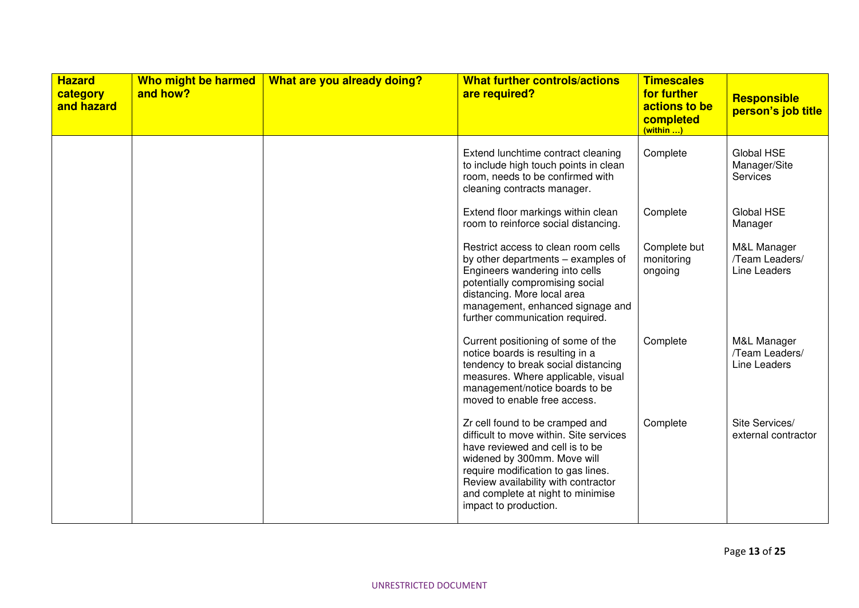| <b>Hazard</b><br>category<br>and hazard | Who might be harmed<br>and how? | What are you already doing? | <b>What further controls/actions</b><br>are required?                                                                                                                                                                                                                                   | <b>Timescales</b><br>for further<br>actions to be<br>completed<br>(within ) | <b>Responsible</b><br>person's job title      |
|-----------------------------------------|---------------------------------|-----------------------------|-----------------------------------------------------------------------------------------------------------------------------------------------------------------------------------------------------------------------------------------------------------------------------------------|-----------------------------------------------------------------------------|-----------------------------------------------|
|                                         |                                 |                             | Extend lunchtime contract cleaning<br>to include high touch points in clean<br>room, needs to be confirmed with<br>cleaning contracts manager.                                                                                                                                          | Complete                                                                    | Global HSE<br>Manager/Site<br>Services        |
|                                         |                                 |                             | Extend floor markings within clean<br>room to reinforce social distancing.                                                                                                                                                                                                              | Complete                                                                    | Global HSE<br>Manager                         |
|                                         |                                 |                             | Restrict access to clean room cells<br>by other departments – examples of<br>Engineers wandering into cells<br>potentially compromising social<br>distancing. More local area<br>management, enhanced signage and<br>further communication required.                                    | Complete but<br>monitoring<br>ongoing                                       | M&L Manager<br>/Team Leaders/<br>Line Leaders |
|                                         |                                 |                             | Current positioning of some of the<br>notice boards is resulting in a<br>tendency to break social distancing<br>measures. Where applicable, visual<br>management/notice boards to be<br>moved to enable free access.                                                                    | Complete                                                                    | M&L Manager<br>/Team Leaders/<br>Line Leaders |
|                                         |                                 |                             | Zr cell found to be cramped and<br>difficult to move within. Site services<br>have reviewed and cell is to be<br>widened by 300mm. Move will<br>require modification to gas lines.<br>Review availability with contractor<br>and complete at night to minimise<br>impact to production. | Complete                                                                    | Site Services/<br>external contractor         |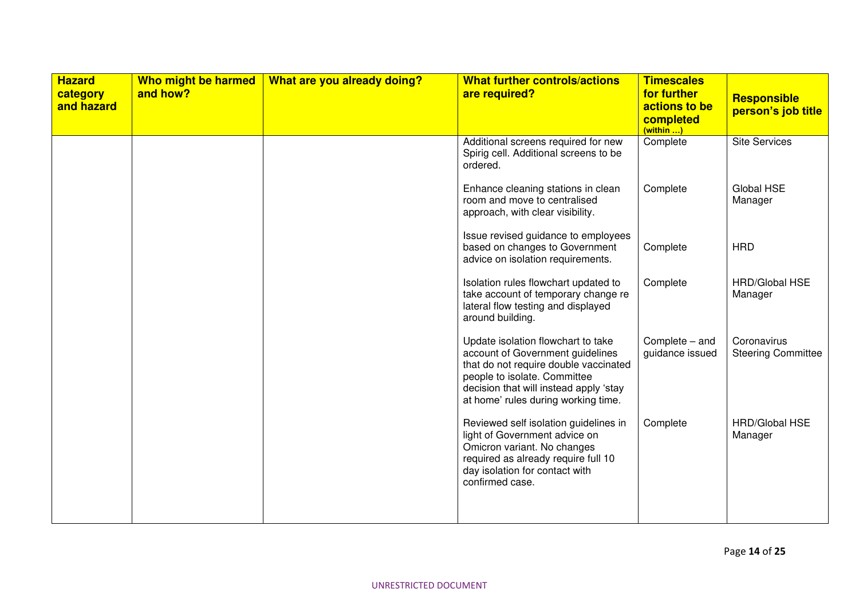| <b>Hazard</b><br>category<br>and hazard | Who might be harmed<br>and how? | What are you already doing? | <b>What further controls/actions</b><br>are required?                                                                                                                                                                            | <b>Timescales</b><br>for further<br>actions to be<br>completed<br>(within ) | <b>Responsible</b><br>person's job title |
|-----------------------------------------|---------------------------------|-----------------------------|----------------------------------------------------------------------------------------------------------------------------------------------------------------------------------------------------------------------------------|-----------------------------------------------------------------------------|------------------------------------------|
|                                         |                                 |                             | Additional screens required for new<br>Spirig cell. Additional screens to be<br>ordered.                                                                                                                                         | Complete                                                                    | <b>Site Services</b>                     |
|                                         |                                 |                             | Enhance cleaning stations in clean<br>room and move to centralised<br>approach, with clear visibility.                                                                                                                           | Complete                                                                    | Global HSE<br>Manager                    |
|                                         |                                 |                             | Issue revised guidance to employees<br>based on changes to Government<br>advice on isolation requirements.                                                                                                                       | Complete                                                                    | <b>HRD</b>                               |
|                                         |                                 |                             | Isolation rules flowchart updated to<br>take account of temporary change re<br>lateral flow testing and displayed<br>around building.                                                                                            | Complete                                                                    | <b>HRD/Global HSE</b><br>Manager         |
|                                         |                                 |                             | Update isolation flowchart to take<br>account of Government guidelines<br>that do not require double vaccinated<br>people to isolate. Committee<br>decision that will instead apply 'stay<br>at home' rules during working time. | Complete - and<br>guidance issued                                           | Coronavirus<br><b>Steering Committee</b> |
|                                         |                                 |                             | Reviewed self isolation guidelines in<br>light of Government advice on<br>Omicron variant. No changes<br>required as already require full 10<br>day isolation for contact with<br>confirmed case.                                | Complete                                                                    | <b>HRD/Global HSE</b><br>Manager         |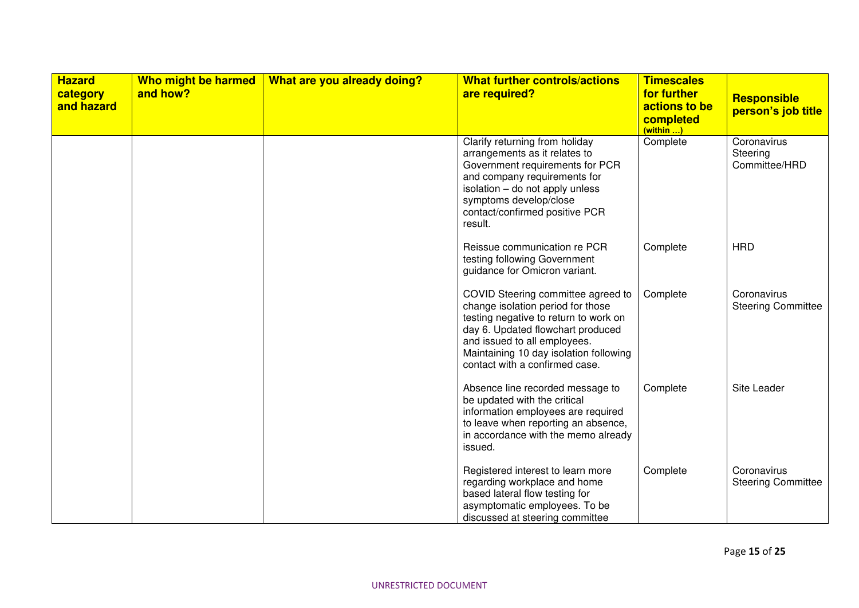| <b>Hazard</b><br>category<br>and hazard | Who might be harmed<br>and how? | What are you already doing? | <b>What further controls/actions</b><br>are required?                                                                                                                                                                                                             | <b>Timescales</b><br>for further<br>actions to be<br>completed<br>(within ) | <b>Responsible</b><br>person's job title |
|-----------------------------------------|---------------------------------|-----------------------------|-------------------------------------------------------------------------------------------------------------------------------------------------------------------------------------------------------------------------------------------------------------------|-----------------------------------------------------------------------------|------------------------------------------|
|                                         |                                 |                             | Clarify returning from holiday<br>arrangements as it relates to<br>Government requirements for PCR<br>and company requirements for<br>isolation - do not apply unless<br>symptoms develop/close<br>contact/confirmed positive PCR<br>result.                      | Complete                                                                    | Coronavirus<br>Steering<br>Committee/HRD |
|                                         |                                 |                             | Reissue communication re PCR<br>testing following Government<br>guidance for Omicron variant.                                                                                                                                                                     | Complete                                                                    | <b>HRD</b>                               |
|                                         |                                 |                             | COVID Steering committee agreed to<br>change isolation period for those<br>testing negative to return to work on<br>day 6. Updated flowchart produced<br>and issued to all employees.<br>Maintaining 10 day isolation following<br>contact with a confirmed case. | Complete                                                                    | Coronavirus<br><b>Steering Committee</b> |
|                                         |                                 |                             | Absence line recorded message to<br>be updated with the critical<br>information employees are required<br>to leave when reporting an absence,<br>in accordance with the memo already<br>issued.                                                                   | Complete                                                                    | Site Leader                              |
|                                         |                                 |                             | Registered interest to learn more<br>regarding workplace and home<br>based lateral flow testing for<br>asymptomatic employees. To be<br>discussed at steering committee                                                                                           | Complete                                                                    | Coronavirus<br><b>Steering Committee</b> |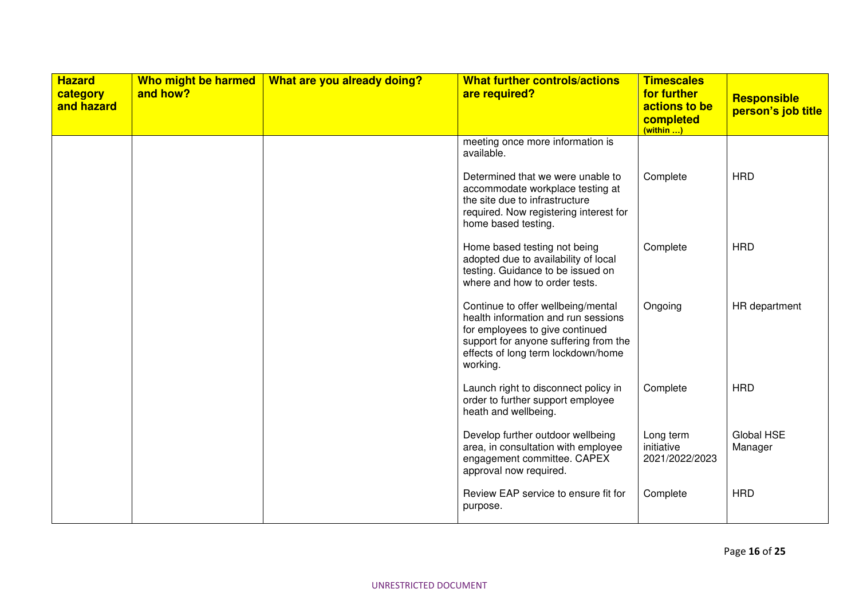| <b>Hazard</b><br>category<br>and hazard | Who might be harmed<br>and how? | What are you already doing? | <b>What further controls/actions</b><br>are required?                                                                                                                                                   | <b>Timescales</b><br>for further<br>actions to be<br>completed<br>(within ) | Responsible<br>person's job title |
|-----------------------------------------|---------------------------------|-----------------------------|---------------------------------------------------------------------------------------------------------------------------------------------------------------------------------------------------------|-----------------------------------------------------------------------------|-----------------------------------|
|                                         |                                 |                             | meeting once more information is<br>available.                                                                                                                                                          |                                                                             |                                   |
|                                         |                                 |                             | Determined that we were unable to<br>accommodate workplace testing at<br>the site due to infrastructure<br>required. Now registering interest for<br>home based testing.                                | Complete                                                                    | <b>HRD</b>                        |
|                                         |                                 |                             | Home based testing not being<br>adopted due to availability of local<br>testing. Guidance to be issued on<br>where and how to order tests.                                                              | Complete                                                                    | <b>HRD</b>                        |
|                                         |                                 |                             | Continue to offer wellbeing/mental<br>health information and run sessions<br>for employees to give continued<br>support for anyone suffering from the<br>effects of long term lockdown/home<br>working. | Ongoing                                                                     | HR department                     |
|                                         |                                 |                             | Launch right to disconnect policy in<br>order to further support employee<br>heath and wellbeing.                                                                                                       | Complete                                                                    | <b>HRD</b>                        |
|                                         |                                 |                             | Develop further outdoor wellbeing<br>area, in consultation with employee<br>engagement committee. CAPEX<br>approval now required.                                                                       | Long term<br>initiative<br>2021/2022/2023                                   | Global HSE<br>Manager             |
|                                         |                                 |                             | Review EAP service to ensure fit for<br>purpose.                                                                                                                                                        | Complete                                                                    | <b>HRD</b>                        |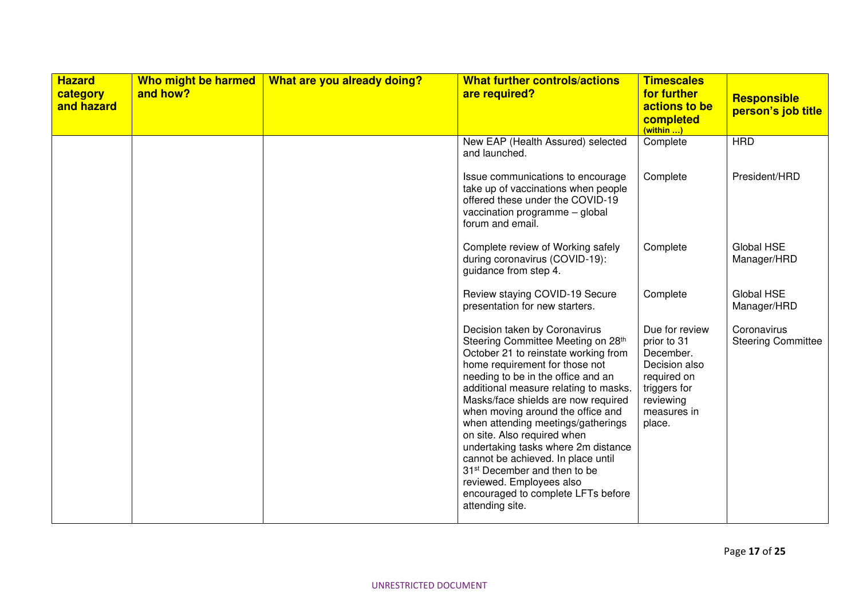| <b>Hazard</b><br>category<br>and hazard | Who might be harmed<br>and how? | What are you already doing? | <b>What further controls/actions</b><br>are required?                                                                                                                                                                                                                                                                                                                                                                                                                                                                                                                                       | <b>Timescales</b><br>for further<br>actions to be<br>completed<br>(within )                                                      | <b>Responsible</b><br>person's job title |
|-----------------------------------------|---------------------------------|-----------------------------|---------------------------------------------------------------------------------------------------------------------------------------------------------------------------------------------------------------------------------------------------------------------------------------------------------------------------------------------------------------------------------------------------------------------------------------------------------------------------------------------------------------------------------------------------------------------------------------------|----------------------------------------------------------------------------------------------------------------------------------|------------------------------------------|
|                                         |                                 |                             | New EAP (Health Assured) selected<br>and launched.                                                                                                                                                                                                                                                                                                                                                                                                                                                                                                                                          | Complete                                                                                                                         | <b>HRD</b>                               |
|                                         |                                 |                             | Issue communications to encourage<br>take up of vaccinations when people<br>offered these under the COVID-19<br>vaccination programme - global<br>forum and email.                                                                                                                                                                                                                                                                                                                                                                                                                          | Complete                                                                                                                         | President/HRD                            |
|                                         |                                 |                             | Complete review of Working safely<br>during coronavirus (COVID-19):<br>guidance from step 4.                                                                                                                                                                                                                                                                                                                                                                                                                                                                                                | Complete                                                                                                                         | Global HSE<br>Manager/HRD                |
|                                         |                                 |                             | Review staying COVID-19 Secure<br>presentation for new starters.                                                                                                                                                                                                                                                                                                                                                                                                                                                                                                                            | Complete                                                                                                                         | Global HSE<br>Manager/HRD                |
|                                         |                                 |                             | Decision taken by Coronavirus<br>Steering Committee Meeting on 28th<br>October 21 to reinstate working from<br>home requirement for those not<br>needing to be in the office and an<br>additional measure relating to masks.<br>Masks/face shields are now required<br>when moving around the office and<br>when attending meetings/gatherings<br>on site. Also required when<br>undertaking tasks where 2m distance<br>cannot be achieved. In place until<br>31 <sup>st</sup> December and then to be<br>reviewed. Employees also<br>encouraged to complete LFTs before<br>attending site. | Due for review<br>prior to 31<br>December.<br>Decision also<br>required on<br>triggers for<br>reviewing<br>measures in<br>place. | Coronavirus<br><b>Steering Committee</b> |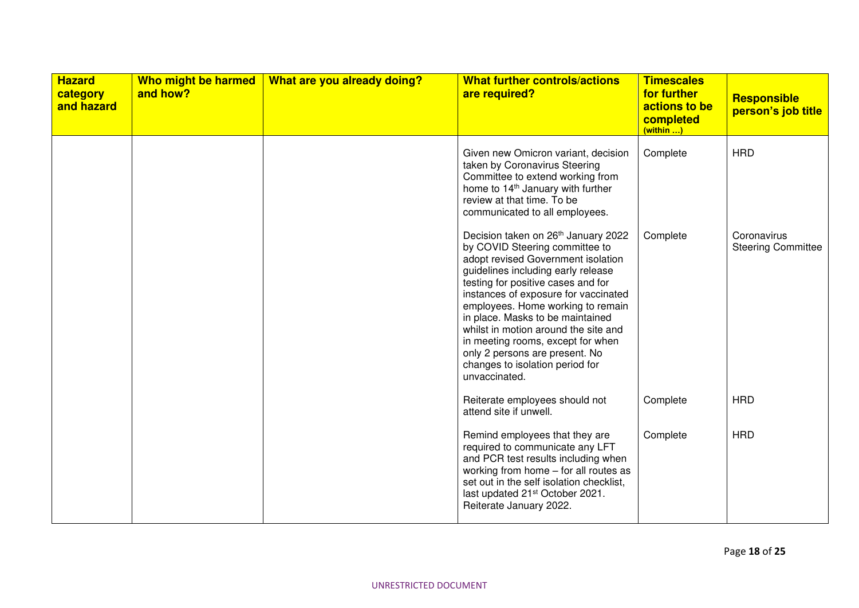| <b>Hazard</b><br>category<br>and hazard | Who might be harmed<br>and how? | What are you already doing? | <b>What further controls/actions</b><br>are required?                                                                                                                                                                                                                                                                                                                                                                                                                       | <b>Timescales</b><br>for further<br>actions to be<br>completed<br>(within ) | <b>Responsible</b><br>person's job title |
|-----------------------------------------|---------------------------------|-----------------------------|-----------------------------------------------------------------------------------------------------------------------------------------------------------------------------------------------------------------------------------------------------------------------------------------------------------------------------------------------------------------------------------------------------------------------------------------------------------------------------|-----------------------------------------------------------------------------|------------------------------------------|
|                                         |                                 |                             | Given new Omicron variant, decision<br>taken by Coronavirus Steering<br>Committee to extend working from<br>home to 14 <sup>th</sup> January with further<br>review at that time. To be<br>communicated to all employees.                                                                                                                                                                                                                                                   | Complete                                                                    | <b>HRD</b>                               |
|                                         |                                 |                             | Decision taken on 26th January 2022<br>by COVID Steering committee to<br>adopt revised Government isolation<br>guidelines including early release<br>testing for positive cases and for<br>instances of exposure for vaccinated<br>employees. Home working to remain<br>in place. Masks to be maintained<br>whilst in motion around the site and<br>in meeting rooms, except for when<br>only 2 persons are present. No<br>changes to isolation period for<br>unvaccinated. | Complete                                                                    | Coronavirus<br><b>Steering Committee</b> |
|                                         |                                 |                             | Reiterate employees should not<br>attend site if unwell.                                                                                                                                                                                                                                                                                                                                                                                                                    | Complete                                                                    | <b>HRD</b>                               |
|                                         |                                 |                             | Remind employees that they are<br>required to communicate any LFT<br>and PCR test results including when<br>working from home - for all routes as<br>set out in the self isolation checklist,<br>last updated 21 <sup>st</sup> October 2021.<br>Reiterate January 2022.                                                                                                                                                                                                     | Complete                                                                    | <b>HRD</b>                               |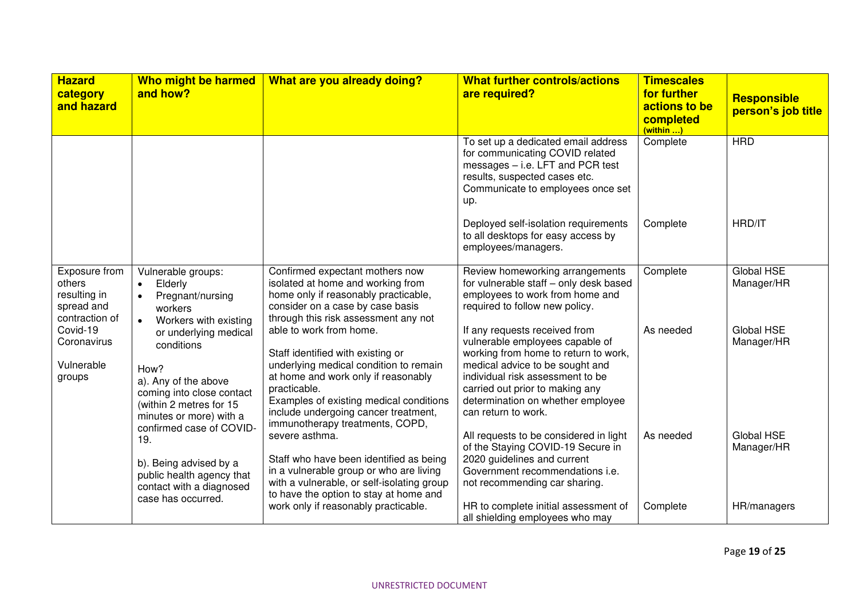| <b>Hazard</b><br>category<br>and hazard                                 | Who might be harmed<br>and how?                                                                                                                        | What are you already doing?                                                                                                                                                                                                                                                         | <b>What further controls/actions</b><br>are required?                                                                                                                                                                                                                          | <b>Timescales</b><br>for further<br>actions to be<br>completed<br>(within ) | <b>Responsible</b><br>person's job title |
|-------------------------------------------------------------------------|--------------------------------------------------------------------------------------------------------------------------------------------------------|-------------------------------------------------------------------------------------------------------------------------------------------------------------------------------------------------------------------------------------------------------------------------------------|--------------------------------------------------------------------------------------------------------------------------------------------------------------------------------------------------------------------------------------------------------------------------------|-----------------------------------------------------------------------------|------------------------------------------|
|                                                                         |                                                                                                                                                        |                                                                                                                                                                                                                                                                                     | To set up a dedicated email address<br>for communicating COVID related<br>messages - i.e. LFT and PCR test<br>results, suspected cases etc.<br>Communicate to employees once set<br>up.                                                                                        | Complete                                                                    | <b>HRD</b>                               |
|                                                                         |                                                                                                                                                        |                                                                                                                                                                                                                                                                                     | Deployed self-isolation requirements<br>to all desktops for easy access by<br>employees/managers.                                                                                                                                                                              | Complete                                                                    | HRD/IT                                   |
| Exposure from<br>others<br>resulting in<br>spread and<br>contraction of | Vulnerable groups:<br>Elderly<br>$\bullet$<br>Pregnant/nursing<br>workers<br>Workers with existing<br>$\bullet$                                        | Confirmed expectant mothers now<br>isolated at home and working from<br>home only if reasonably practicable,<br>consider on a case by case basis<br>through this risk assessment any not                                                                                            | Review homeworking arrangements<br>for vulnerable staff - only desk based<br>employees to work from home and<br>required to follow new policy.                                                                                                                                 | Complete                                                                    | <b>Global HSE</b><br>Manager/HR          |
| Covid-19<br>Coronavirus<br>Vulnerable<br>groups                         | or underlying medical<br>conditions<br>How?<br>a). Any of the above<br>coming into close contact<br>(within 2 metres for 15<br>minutes or more) with a | able to work from home.<br>Staff identified with existing or<br>underlying medical condition to remain<br>at home and work only if reasonably<br>practicable.<br>Examples of existing medical conditions<br>include undergoing cancer treatment,<br>immunotherapy treatments, COPD, | If any requests received from<br>vulnerable employees capable of<br>working from home to return to work,<br>medical advice to be sought and<br>individual risk assessment to be<br>carried out prior to making any<br>determination on whether employee<br>can return to work. | As needed                                                                   | Global HSE<br>Manager/HR                 |
|                                                                         | confirmed case of COVID-<br>19.<br>b). Being advised by a<br>public health agency that<br>contact with a diagnosed<br>case has occurred.               | severe asthma.<br>Staff who have been identified as being<br>in a vulnerable group or who are living<br>with a vulnerable, or self-isolating group<br>to have the option to stay at home and                                                                                        | All requests to be considered in light<br>of the Staying COVID-19 Secure in<br>2020 guidelines and current<br>Government recommendations i.e.<br>not recommending car sharing.                                                                                                 | As needed                                                                   | Global HSE<br>Manager/HR                 |
|                                                                         |                                                                                                                                                        | work only if reasonably practicable.                                                                                                                                                                                                                                                | HR to complete initial assessment of<br>all shielding employees who may                                                                                                                                                                                                        | Complete                                                                    | HR/managers                              |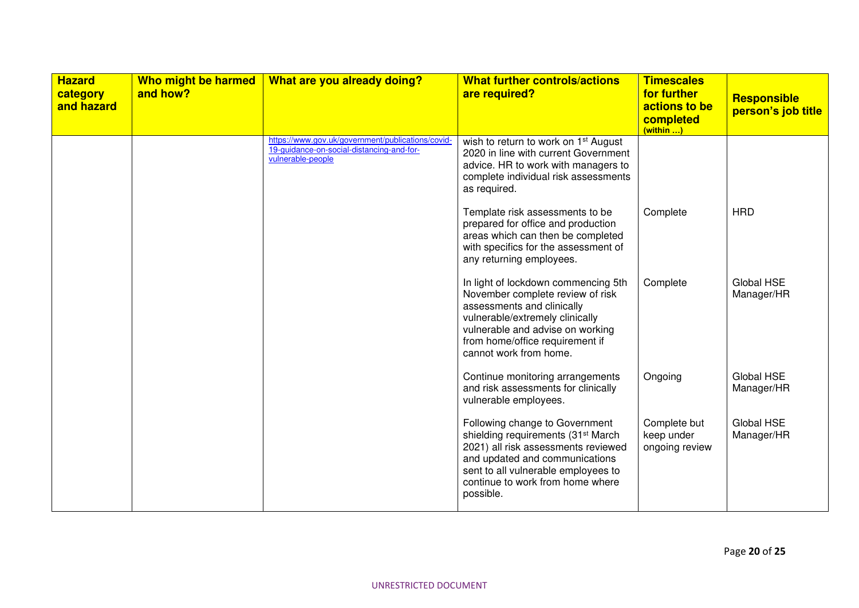| <b>Hazard</b><br>category<br>and hazard | Who might be harmed<br>and how? | What are you already doing?                                                                                         | <b>What further controls/actions</b><br>are required?                                                                                                                                                                                             | <b>Timescales</b><br>for further<br>actions to be<br>completed<br>(within ) | <b>Responsible</b><br>person's job title |
|-----------------------------------------|---------------------------------|---------------------------------------------------------------------------------------------------------------------|---------------------------------------------------------------------------------------------------------------------------------------------------------------------------------------------------------------------------------------------------|-----------------------------------------------------------------------------|------------------------------------------|
|                                         |                                 | https://www.gov.uk/government/publications/covid-<br>19-guidance-on-social-distancing-and-for-<br>vulnerable-people | wish to return to work on 1 <sup>st</sup> August<br>2020 in line with current Government<br>advice. HR to work with managers to<br>complete individual risk assessments<br>as required.                                                           |                                                                             |                                          |
|                                         |                                 |                                                                                                                     | Template risk assessments to be<br>prepared for office and production<br>areas which can then be completed<br>with specifics for the assessment of<br>any returning employees.                                                                    | Complete                                                                    | <b>HRD</b>                               |
|                                         |                                 |                                                                                                                     | In light of lockdown commencing 5th<br>November complete review of risk<br>assessments and clinically<br>vulnerable/extremely clinically<br>vulnerable and advise on working<br>from home/office requirement if<br>cannot work from home.         | Complete                                                                    | Global HSE<br>Manager/HR                 |
|                                         |                                 |                                                                                                                     | Continue monitoring arrangements<br>and risk assessments for clinically<br>vulnerable employees.                                                                                                                                                  | Ongoing                                                                     | Global HSE<br>Manager/HR                 |
|                                         |                                 |                                                                                                                     | Following change to Government<br>shielding requirements (31 <sup>st</sup> March<br>2021) all risk assessments reviewed<br>and updated and communications<br>sent to all vulnerable employees to<br>continue to work from home where<br>possible. | Complete but<br>keep under<br>ongoing review                                | Global HSE<br>Manager/HR                 |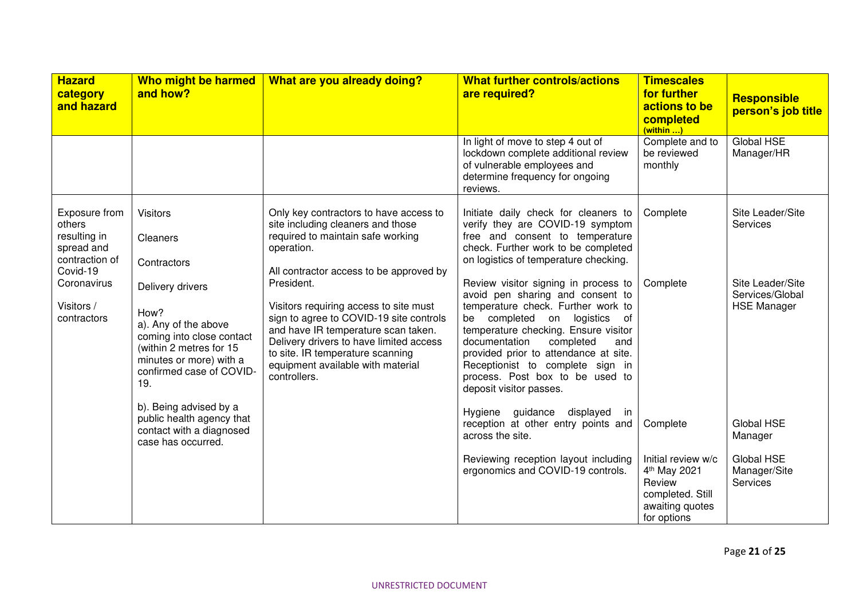| <b>Hazard</b><br>category<br>and hazard                                             | Who might be harmed<br>and how?                                                                                                                                        | What are you already doing?                                                                                                                                                                                                                                                | <b>What further controls/actions</b><br>are required?                                                                                                                                                                                                                                                                                                                  | <b>Timescales</b><br>for further<br>actions to be<br>completed<br>(within )                                    | <b>Responsible</b><br>person's job title                  |
|-------------------------------------------------------------------------------------|------------------------------------------------------------------------------------------------------------------------------------------------------------------------|----------------------------------------------------------------------------------------------------------------------------------------------------------------------------------------------------------------------------------------------------------------------------|------------------------------------------------------------------------------------------------------------------------------------------------------------------------------------------------------------------------------------------------------------------------------------------------------------------------------------------------------------------------|----------------------------------------------------------------------------------------------------------------|-----------------------------------------------------------|
|                                                                                     |                                                                                                                                                                        |                                                                                                                                                                                                                                                                            | In light of move to step 4 out of<br>lockdown complete additional review<br>of vulnerable employees and<br>determine frequency for ongoing<br>reviews.                                                                                                                                                                                                                 | Complete and to<br>be reviewed<br>monthly                                                                      | Global HSE<br>Manager/HR                                  |
| Exposure from<br>others<br>resulting in<br>spread and<br>contraction of<br>Covid-19 | <b>Visitors</b><br>Cleaners<br>Contractors                                                                                                                             | Only key contractors to have access to<br>site including cleaners and those<br>required to maintain safe working<br>operation.<br>All contractor access to be approved by                                                                                                  | Initiate daily check for cleaners to<br>verify they are COVID-19 symptom<br>free and consent to temperature<br>check. Further work to be completed<br>on logistics of temperature checking.                                                                                                                                                                            | Complete                                                                                                       | Site Leader/Site<br>Services                              |
| Coronavirus<br>Visitors /<br>contractors                                            | Delivery drivers<br>How?<br>a). Any of the above<br>coming into close contact<br>(within 2 metres for 15<br>minutes or more) with a<br>confirmed case of COVID-<br>19. | President.<br>Visitors requiring access to site must<br>sign to agree to COVID-19 site controls<br>and have IR temperature scan taken.<br>Delivery drivers to have limited access<br>to site. IR temperature scanning<br>equipment available with material<br>controllers. | Review visitor signing in process to<br>avoid pen sharing and consent to<br>temperature check. Further work to<br>be completed on logistics of<br>temperature checking. Ensure visitor<br>documentation<br>completed<br>and<br>provided prior to attendance at site.<br>Receptionist to complete sign in<br>process. Post box to be used to<br>deposit visitor passes. | Complete                                                                                                       | Site Leader/Site<br>Services/Global<br><b>HSE Manager</b> |
|                                                                                     | b). Being advised by a<br>public health agency that<br>contact with a diagnosed<br>case has occurred.                                                                  |                                                                                                                                                                                                                                                                            | guidance<br>Hygiene<br>displayed<br>in<br>reception at other entry points and<br>across the site.                                                                                                                                                                                                                                                                      | Complete                                                                                                       | Global HSE<br>Manager                                     |
|                                                                                     |                                                                                                                                                                        |                                                                                                                                                                                                                                                                            | Reviewing reception layout including<br>ergonomics and COVID-19 controls.                                                                                                                                                                                                                                                                                              | Initial review w/c<br>4 <sup>th</sup> May 2021<br>Review<br>completed. Still<br>awaiting quotes<br>for options | Global HSE<br>Manager/Site<br>Services                    |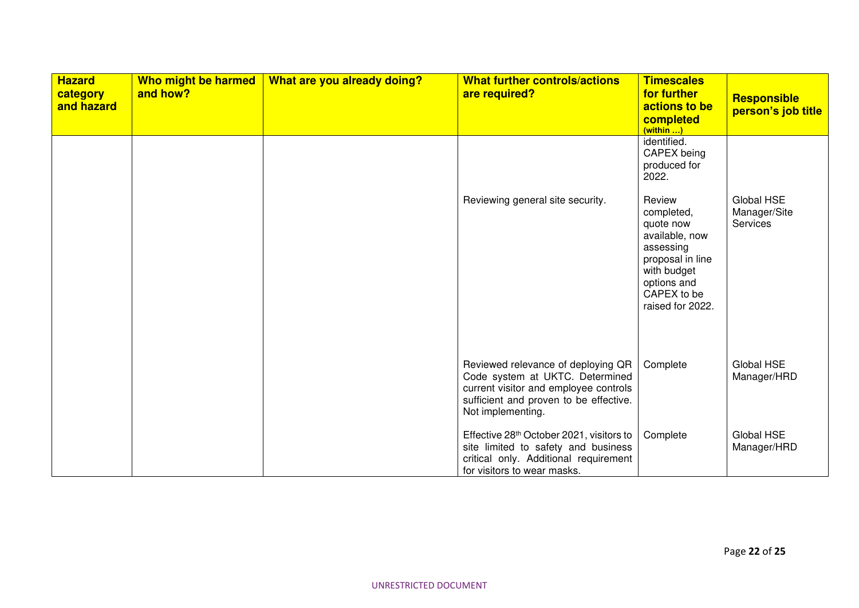| <b>Hazard</b><br>category<br>and hazard | Who might be harmed<br>and how? | What are you already doing? | <b>What further controls/actions</b><br>are required?                                                                                                                         | <b>Timescales</b><br>for further<br>actions to be<br>completed<br>$(within$                                                                           | <b>Responsible</b><br>person's job title |
|-----------------------------------------|---------------------------------|-----------------------------|-------------------------------------------------------------------------------------------------------------------------------------------------------------------------------|-------------------------------------------------------------------------------------------------------------------------------------------------------|------------------------------------------|
|                                         |                                 |                             |                                                                                                                                                                               | identified.<br>CAPEX being<br>produced for<br>2022.                                                                                                   |                                          |
|                                         |                                 |                             | Reviewing general site security.                                                                                                                                              | Review<br>completed,<br>quote now<br>available, now<br>assessing<br>proposal in line<br>with budget<br>options and<br>CAPEX to be<br>raised for 2022. | Global HSE<br>Manager/Site<br>Services   |
|                                         |                                 |                             | Reviewed relevance of deploying QR<br>Code system at UKTC. Determined<br>current visitor and employee controls<br>sufficient and proven to be effective.<br>Not implementing. | Complete                                                                                                                                              | Global HSE<br>Manager/HRD                |
|                                         |                                 |                             | Effective 28th October 2021, visitors to<br>site limited to safety and business<br>critical only. Additional requirement<br>for visitors to wear masks.                       | Complete                                                                                                                                              | Global HSE<br>Manager/HRD                |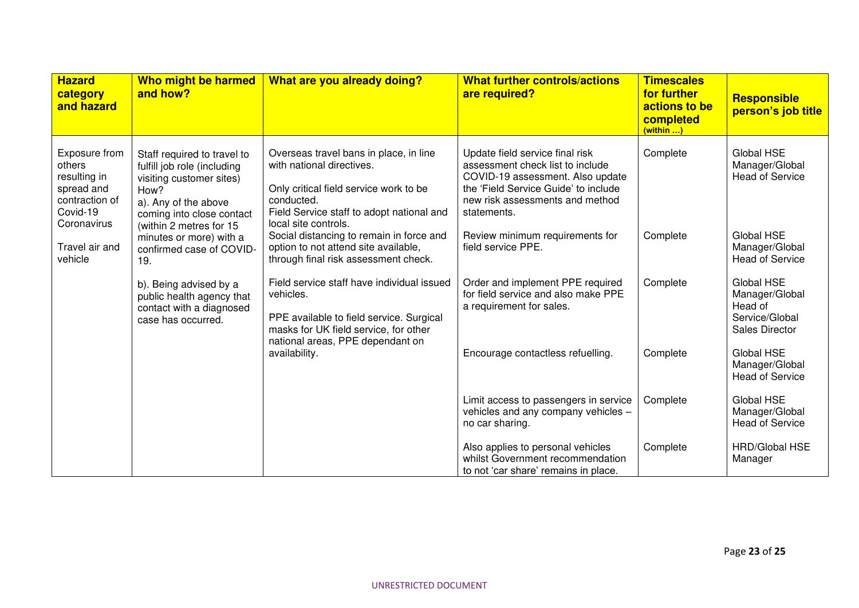| <b>Hazard</b><br>category<br>and hazard                                                            | Who might be harmed<br>and how?                                                                                                                                                | What are you already doing?                                                                                                                                                                       | <b>What further controls/actions</b><br>are required?                                                                                                                                             | <b>Timescales</b><br>for further<br>actions to be<br>completed<br>(within | <b>Responsible</b><br>person's job title                                           |
|----------------------------------------------------------------------------------------------------|--------------------------------------------------------------------------------------------------------------------------------------------------------------------------------|---------------------------------------------------------------------------------------------------------------------------------------------------------------------------------------------------|---------------------------------------------------------------------------------------------------------------------------------------------------------------------------------------------------|---------------------------------------------------------------------------|------------------------------------------------------------------------------------|
| Exposure from<br>others<br>resulting in<br>spread and<br>contraction of<br>Covid-19<br>Coronavirus | Staff required to travel to<br>fulfill job role (including<br>visiting customer sites)<br>How?<br>a). Any of the above<br>coming into close contact<br>(within 2 metres for 15 | Overseas travel bans in place, in line<br>with national directives.<br>Only critical field service work to be<br>conducted.<br>Field Service staff to adopt national and<br>local site controls.  | Update field service final risk<br>assessment check list to include<br>COVID-19 assessment. Also update<br>the 'Field Service Guide' to include<br>new risk assessments and method<br>statements. | Complete                                                                  | Global HSE<br>Manager/Global<br>Head of Service                                    |
| Travel air and<br>vehicle                                                                          | minutes or more) with a<br>confirmed case of COVID-<br>19.                                                                                                                     | Social distancing to remain in force and<br>option to not attend site available,<br>through final risk assessment check.                                                                          | Review minimum requirements for<br>field service PPE.                                                                                                                                             | Complete                                                                  | <b>Global HSE</b><br>Manager/Global<br><b>Head of Service</b>                      |
|                                                                                                    | b). Being advised by a<br>public health agency that<br>contact with a diagnosed<br>case has occurred.                                                                          | Field service staff have individual issued<br>vehicles.<br>PPE available to field service. Surgical<br>masks for UK field service, for other<br>national areas, PPE dependant on<br>availability. | Order and implement PPE required<br>for field service and also make PPE<br>a requirement for sales.                                                                                               | Complete                                                                  | Global HSE<br>Manager/Global<br>Head of<br>Service/Global<br><b>Sales Director</b> |
|                                                                                                    |                                                                                                                                                                                |                                                                                                                                                                                                   | Encourage contactless refuelling.                                                                                                                                                                 | Complete                                                                  | Global HSE<br>Manager/Global<br><b>Head of Service</b>                             |
|                                                                                                    |                                                                                                                                                                                |                                                                                                                                                                                                   | Limit access to passengers in service<br>vehicles and any company vehicles -<br>no car sharing.                                                                                                   | Complete                                                                  | Global HSE<br>Manager/Global<br><b>Head of Service</b>                             |
|                                                                                                    |                                                                                                                                                                                |                                                                                                                                                                                                   | Also applies to personal vehicles<br>whilst Government recommendation<br>to not 'car share' remains in place.                                                                                     | Complete                                                                  | <b>HRD/Global HSE</b><br>Manager                                                   |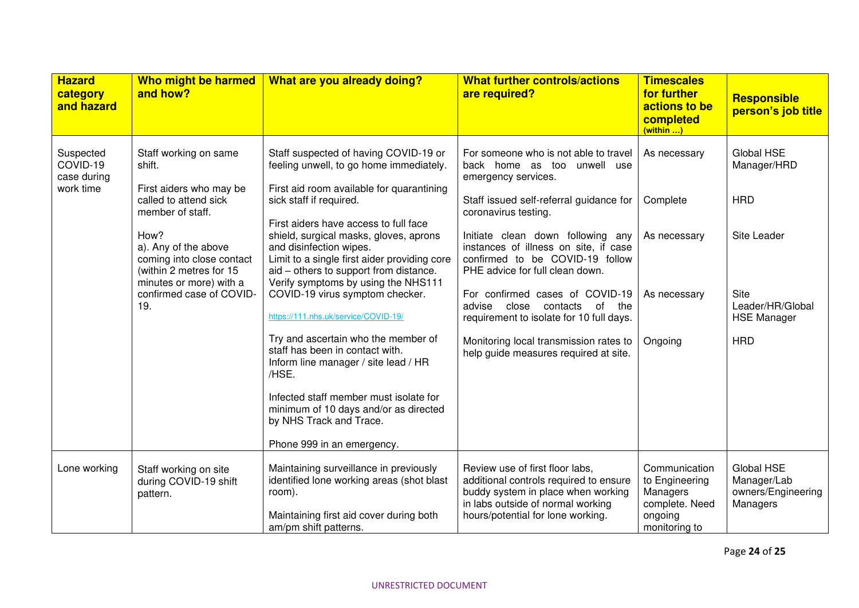| <b>Hazard</b><br>category<br>and hazard           | Who might be harmed<br>and how?                                                                                 | What are you already doing?                                                                                                                                                                                                                 | <b>What further controls/actions</b><br>are required?                                                                                                                                     | <b>Timescales</b><br>for further<br>actions to be<br>completed<br>(within )               | <b>Responsible</b><br>person's job title                    |
|---------------------------------------------------|-----------------------------------------------------------------------------------------------------------------|---------------------------------------------------------------------------------------------------------------------------------------------------------------------------------------------------------------------------------------------|-------------------------------------------------------------------------------------------------------------------------------------------------------------------------------------------|-------------------------------------------------------------------------------------------|-------------------------------------------------------------|
| Suspected<br>COVID-19<br>case during<br>work time | Staff working on same<br>shift.<br>First aiders who may be                                                      | Staff suspected of having COVID-19 or<br>feeling unwell, to go home immediately.<br>First aid room available for quarantining                                                                                                               | For someone who is not able to travel<br>back home as too unwell use<br>emergency services.                                                                                               | As necessary                                                                              | Global HSE<br>Manager/HRD                                   |
|                                                   | called to attend sick<br>member of staff.                                                                       | sick staff if required.                                                                                                                                                                                                                     | Staff issued self-referral guidance for<br>coronavirus testing.                                                                                                                           | Complete                                                                                  | <b>HRD</b>                                                  |
|                                                   | How?<br>a). Any of the above<br>coming into close contact<br>(within 2 metres for 15<br>minutes or more) with a | First aiders have access to full face<br>shield, surgical masks, gloves, aprons<br>and disinfection wipes.<br>Limit to a single first aider providing core<br>aid - others to support from distance.<br>Verify symptoms by using the NHS111 | Initiate clean down following any<br>instances of illness on site, if case<br>confirmed to be COVID-19 follow<br>PHE advice for full clean down.                                          | As necessary                                                                              | Site Leader                                                 |
|                                                   | confirmed case of COVID-<br>19.                                                                                 | COVID-19 virus symptom checker.<br>https://111.nhs.uk/service/COVID-19/                                                                                                                                                                     | For confirmed cases of COVID-19<br>advise close<br>of<br>the<br>contacts<br>requirement to isolate for 10 full days.                                                                      | As necessary                                                                              | <b>Site</b><br>Leader/HR/Global<br><b>HSE Manager</b>       |
|                                                   |                                                                                                                 | Try and ascertain who the member of<br>staff has been in contact with.<br>Inform line manager / site lead / HR<br>/HSE.                                                                                                                     | Monitoring local transmission rates to<br>help guide measures required at site.                                                                                                           | Ongoing                                                                                   | <b>HRD</b>                                                  |
|                                                   |                                                                                                                 | Infected staff member must isolate for<br>minimum of 10 days and/or as directed<br>by NHS Track and Trace.                                                                                                                                  |                                                                                                                                                                                           |                                                                                           |                                                             |
|                                                   |                                                                                                                 | Phone 999 in an emergency.                                                                                                                                                                                                                  |                                                                                                                                                                                           |                                                                                           |                                                             |
| Lone working                                      | Staff working on site<br>during COVID-19 shift<br>pattern.                                                      | Maintaining surveillance in previously<br>identified lone working areas (shot blast<br>room).<br>Maintaining first aid cover during both<br>am/pm shift patterns.                                                                           | Review use of first floor labs,<br>additional controls required to ensure<br>buddy system in place when working<br>in labs outside of normal working<br>hours/potential for lone working. | Communication<br>to Engineering<br>Managers<br>complete. Need<br>ongoing<br>monitoring to | Global HSE<br>Manager/Lab<br>owners/Engineering<br>Managers |